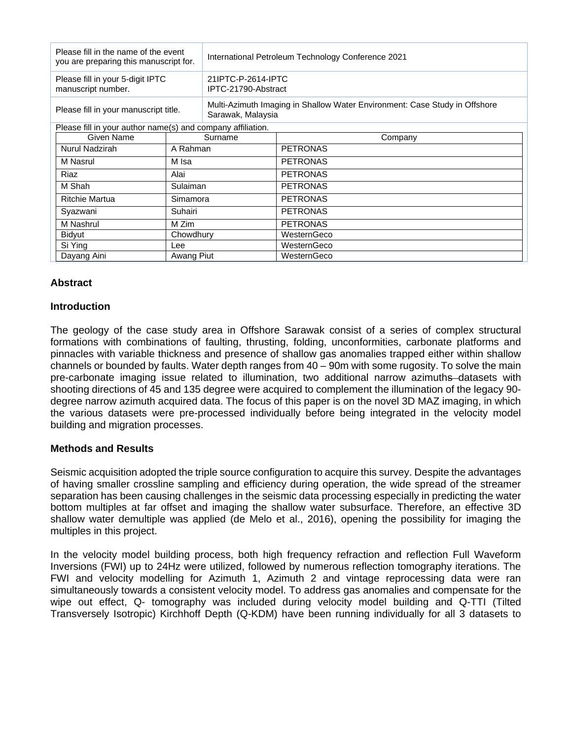| Please fill in the name of the event<br>you are preparing this manuscript for. |            | International Petroleum Technology Conference 2021                                              |                 |
|--------------------------------------------------------------------------------|------------|-------------------------------------------------------------------------------------------------|-----------------|
| Please fill in your 5-digit IPTC<br>manuscript number.                         |            | 21IPTC-P-2614-IPTC<br>IPTC-21790-Abstract                                                       |                 |
| Please fill in your manuscript title.                                          |            | Multi-Azimuth Imaging in Shallow Water Environment: Case Study in Offshore<br>Sarawak, Malaysia |                 |
| Please fill in your author name(s) and company affiliation.                    |            |                                                                                                 |                 |
| Given Name                                                                     | Surname    |                                                                                                 | Company         |
| Nurul Nadzirah                                                                 | A Rahman   |                                                                                                 | <b>PETRONAS</b> |
| M Nasrul                                                                       | M Isa      |                                                                                                 | <b>PETRONAS</b> |
| Riaz                                                                           | Alai       |                                                                                                 | <b>PETRONAS</b> |
| M Shah                                                                         | Sulaiman   |                                                                                                 | <b>PETRONAS</b> |
| <b>Ritchie Martua</b>                                                          | Simamora   |                                                                                                 | <b>PETRONAS</b> |
| Syazwani                                                                       | Suhairi    |                                                                                                 | <b>PETRONAS</b> |
| M Nashrul                                                                      | M Zim      |                                                                                                 | <b>PETRONAS</b> |
| Bidyut                                                                         | Chowdhury  |                                                                                                 | WesternGeco     |
| Si Ying                                                                        | Lee        |                                                                                                 | WesternGeco     |
| Dayang Aini                                                                    | Awang Piut |                                                                                                 | WesternGeco     |

# **Abstract**

### **Introduction**

The geology of the case study area in Offshore Sarawak consist of a series of complex structural formations with combinations of faulting, thrusting, folding, unconformities, carbonate platforms and pinnacles with variable thickness and presence of shallow gas anomalies trapped either within shallow channels or bounded by faults. Water depth ranges from 40 – 90m with some rugosity. To solve the main pre-carbonate imaging issue related to illumination, two additional narrow azimuths datasets with shooting directions of 45 and 135 degree were acquired to complement the illumination of the legacy 90 degree narrow azimuth acquired data. The focus of this paper is on the novel 3D MAZ imaging, in which the various datasets were pre-processed individually before being integrated in the velocity model building and migration processes.

### **Methods and Results**

Seismic acquisition adopted the triple source configuration to acquire this survey. Despite the advantages of having smaller crossline sampling and efficiency during operation, the wide spread of the streamer separation has been causing challenges in the seismic data processing especially in predicting the water bottom multiples at far offset and imaging the shallow water subsurface. Therefore, an effective 3D shallow water demultiple was applied (de Melo et al., 2016), opening the possibility for imaging the multiples in this project.

In the velocity model building process, both high frequency refraction and reflection Full Waveform Inversions (FWI) up to 24Hz were utilized, followed by numerous reflection tomography iterations. The FWI and velocity modelling for Azimuth 1, Azimuth 2 and vintage reprocessing data were ran simultaneously towards a consistent velocity model. To address gas anomalies and compensate for the wipe out effect, Q- tomography was included during velocity model building and Q-TTI (Tilted Transversely Isotropic) Kirchhoff Depth (Q-KDM) have been running individually for all 3 datasets to